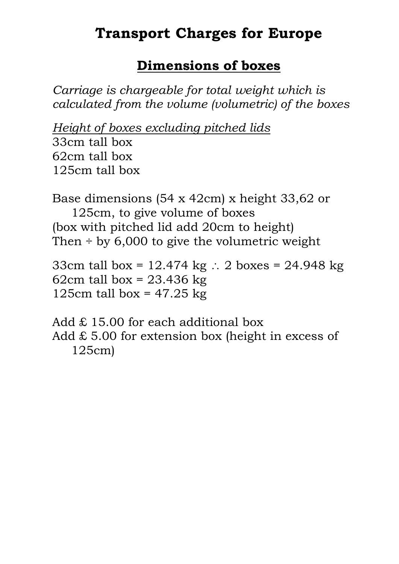#### **Dimensions of boxes**

*Carriage is chargeable for total weight which is calculated from the volume (volumetric) of the boxes*

*Height of boxes excluding pitched lids* 33cm tall box 62cm tall box 125cm tall box

Base dimensions (54 x 42cm) x height 33,62 or 125cm, to give volume of boxes (box with pitched lid add 20cm to height) Then  $\div$  by 6,000 to give the volumetric weight

33cm tall box =  $12.474$  kg : 2 boxes = 24.948 kg 62cm tall box =  $23.436$  kg 125cm tall box =  $47.25$  kg

Add £ 15.00 for each additional box Add  $\pounds$  5.00 for extension box (height in excess of 125cm)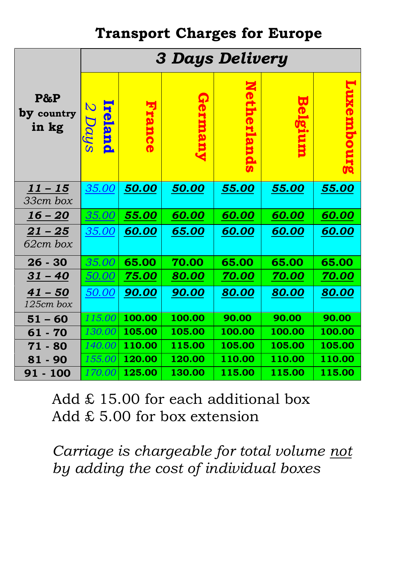|                             | <b>3 Days Delivery</b> |              |              |              |                         |              |  |  |
|-----------------------------|------------------------|--------------|--------------|--------------|-------------------------|--------------|--|--|
| P&P<br>by country<br>in kg  | S<br>reland<br>Days    |              |              | 2            | $\overline{\mathbf{u}}$ |              |  |  |
| $11 - 15$<br>33cm box       | <i>35.00</i>           | 50.00        | 50.00        | 55.00        | 55.00                   | <u>55.00</u> |  |  |
| $16 - 20$                   | 35.00                  | 55.00        | 60.00        | 60.00        | 60.00                   | 60.00        |  |  |
| <u> 21 – 25</u><br>62cm box | <u>35.00</u>           | 60.00        | 65.00        | 60.00        | <u>60.00</u>            | <u>60.00</u> |  |  |
| $26 - 30$                   | 35.00                  | 65.00        | 70.00        | 65.00        | 65.00                   | 65.00        |  |  |
| $31 - 40$                   | 50.00                  | 75.00        | <u>80.00</u> | <b>70.00</b> | 70.00                   | <u>70.00</u> |  |  |
| $41 - 50$<br>125cm box      | 50.00                  | <b>90.00</b> | <b>90.00</b> | 80.00        | 80.00                   | 80.00        |  |  |
| $51 - 60$                   | 115.00 $\mid$          | 100.00       | 100.00       | 90.00        | 90.00                   | 90.00        |  |  |
| $61 - 70$                   | 130.00                 | 105.00       | 105.00       | 100.00       | 100.00                  | 100.00       |  |  |
| $71 - 80$                   | 140.00                 | 110.00       | 115.00       | 105.00       | 105.00                  | 105.00       |  |  |
| $81 - 90$                   | 155.00                 | 120.00       | 120.00       | 110.00       | 110.00                  | 110.00       |  |  |
| 91 - 100                    | 170.00                 | 125.00       | 130.00       | 115.00       | 115.00                  | 115.00       |  |  |

Add  $£$  15.00 for each additional box Add £ 5.00 for box extension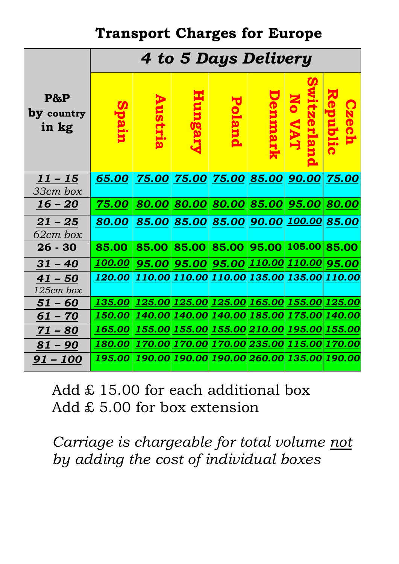|                               | 4 to 5 Days Delivery                                                                |  |                                                                                |  |  |  |  |  |
|-------------------------------|-------------------------------------------------------------------------------------|--|--------------------------------------------------------------------------------|--|--|--|--|--|
| $P\&P$<br>by country<br>in kg |                                                                                     |  |                                                                                |  |  |  |  |  |
| $11 - 15$<br>33cm box         |                                                                                     |  | 65.00 75.00 75.00 75.00 85.00 90.00 75.00                                      |  |  |  |  |  |
| <u> 16 – 20</u>               | $\mid 75.00 \mid 80.00 \mid 80.00 \mid 80.00 \mid 85.00 \mid 95.00 \mid 80.00 \mid$ |  |                                                                                |  |  |  |  |  |
| $21 - 25$<br>62cm box         | <u>80.00   85.00   85.00   85.00   90.00   100.00   85.00  </u>                     |  |                                                                                |  |  |  |  |  |
| $26 - 30$                     | 85.00                                                                               |  | $\mid$ 85.00 $\mid$ 85.00 $\mid$ 85.00 $\mid$ 95.00 $\mid$ 105.00 $\mid$ 85.00 |  |  |  |  |  |
| $31 - 40$                     | <u>  100.00   95.00   95.00   95.00   110.00   110.00   95.00   </u>                |  |                                                                                |  |  |  |  |  |
| $41 - 50$<br>125cm box        | <u>120.00   110.00   110.00   110.00   135.00   135.00   110.00  </u>               |  |                                                                                |  |  |  |  |  |
| $51 - 60$                     | <u>135.00   125.00   125.00   125.00   165.00   155.00   125.00 </u>                |  |                                                                                |  |  |  |  |  |
| $61 - 70$                     | <u>150.00   140.00   140.00   140.00   185.00   175.00   140.00  </u>               |  |                                                                                |  |  |  |  |  |
| $71 - 80$                     | <u>165.00   155.00   155.00   155.00   210.00   195.00   155.00 </u>                |  |                                                                                |  |  |  |  |  |
| $81 - 90$                     | <u>180.00   170.00   170.00   170.00   235.00   115.00   170.00 </u>                |  |                                                                                |  |  |  |  |  |
| <u>91 – 100</u>               | <u>195.00  190.00  190.00  190.00  260.00  135.00  190.00</u>                       |  |                                                                                |  |  |  |  |  |

Add  $£$  15.00 for each additional box Add £ 5.00 for box extension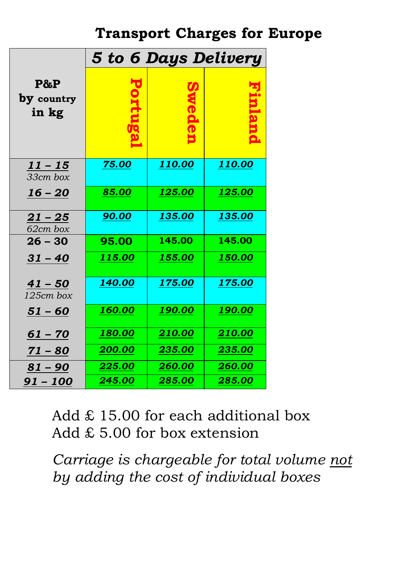|                             | 5 to 6 Days Delivery |               |               |  |  |  |
|-----------------------------|----------------------|---------------|---------------|--|--|--|
| P&P<br>by country<br>in kg  |                      |               |               |  |  |  |
| <u> 11 – 15</u><br>33cm box | 75.00                | <u>110.00</u> | 110.00        |  |  |  |
| $16 - 20$                   | 85.00                | <u>125.00</u> | <u>125.00</u> |  |  |  |
| $21 - 25$<br>62cm box       | 90.00                | 135.00        | <u>135.00</u> |  |  |  |
| $26 - 30$                   | 95.00                | 145.00        | 145.00        |  |  |  |
| $31 - 40$                   | 115.00               | 155.00        | 150.00        |  |  |  |
| $41 - 50$<br>125cm box      | <b>140.00</b>        | 175.00        | <u>175.00</u> |  |  |  |
| $51 - 60$                   | <b>160.00</b>        | <u>190.00</u> | <u>190.00</u> |  |  |  |
| $61 - 70$                   | 180.00               | 210.00        | 210.00        |  |  |  |
| 71 – 80                     | <u>200.00</u>        | <u>235.00</u> | <u>235.00</u> |  |  |  |
| $81 - 90$                   | 225.00               | 260.00        | 260.00        |  |  |  |
| 91 – 100                    | 245.00               | 285.00        | 285.00        |  |  |  |

Add  $£$  15.00 for each additional box Add £ 5.00 for box extension